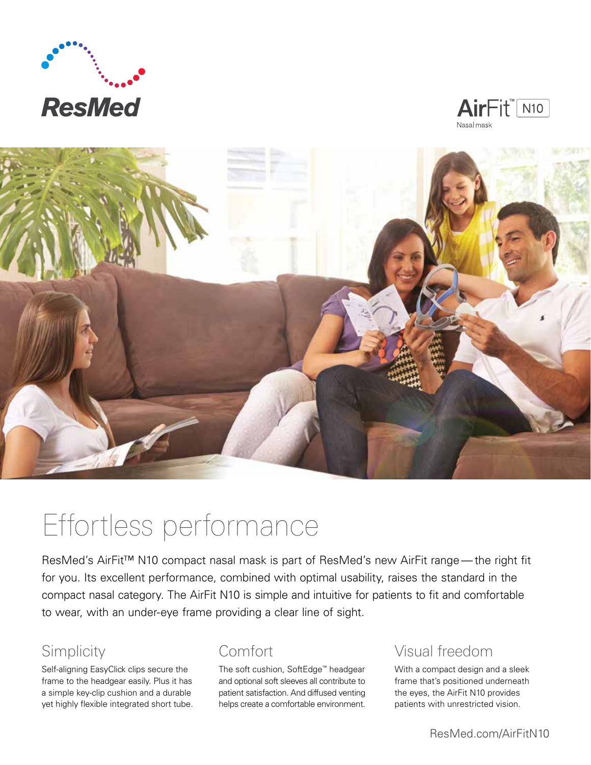





# Effortless performance

ResMed's AirFit<sup>™</sup> N10 compact nasal mask is part of ResMed's new AirFit range — the right fit for you. Its excellent performance, combined with optimal usability, raises the standard in the compact nasal category. The AirFit N10 is simple and intuitive for patients to fit and comfortable to wear, with an under-eye frame providing a clear line of sight.

### Simplicity

Self-aligning EasyClick clips secure the frame to the headgear easily. Plus it has a simple key-clip cushion and a durable yet highly flexible integrated short tube.

### Comfort

The soft cushion, SoftEdge™ headgear and optional soft sleeves all contribute to patient satisfaction. And diffused venting helps create a comfortable environment.

### Visual freedom

With a compact design and a sleek frame that's positioned underneath the eyes, the AirFit N10 provides patients with unrestricted vision.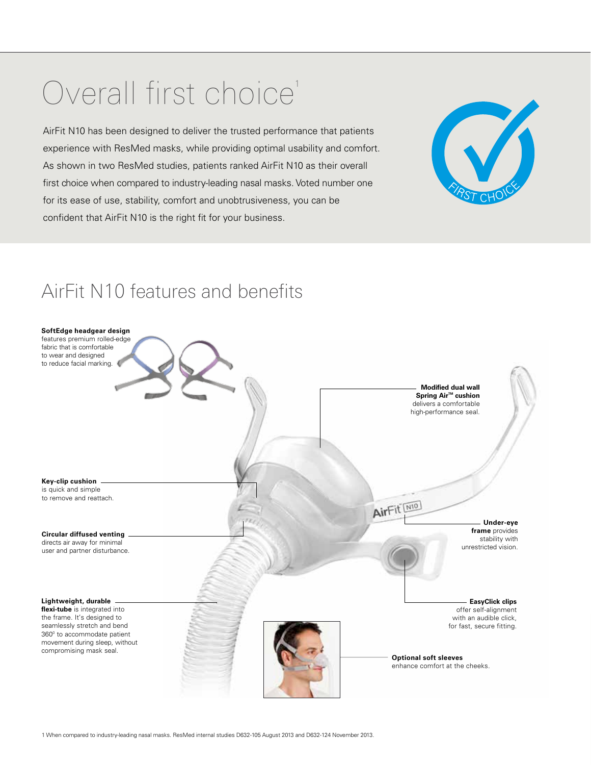# Overall first choice<sup>1</sup>

AirFit N10 has been designed to deliver the trusted performance that patients experience with ResMed masks, while providing optimal usability and comfort. As shown in two ResMed studies, patients ranked AirFit N10 as their overall first choice when compared to industry-leading nasal masks. Voted number one for its ease of use, stability, comfort and unobtrusiveness, you can be confident that AirFit N10 is the right fit for your business.



## AirFit N10 features and benefits

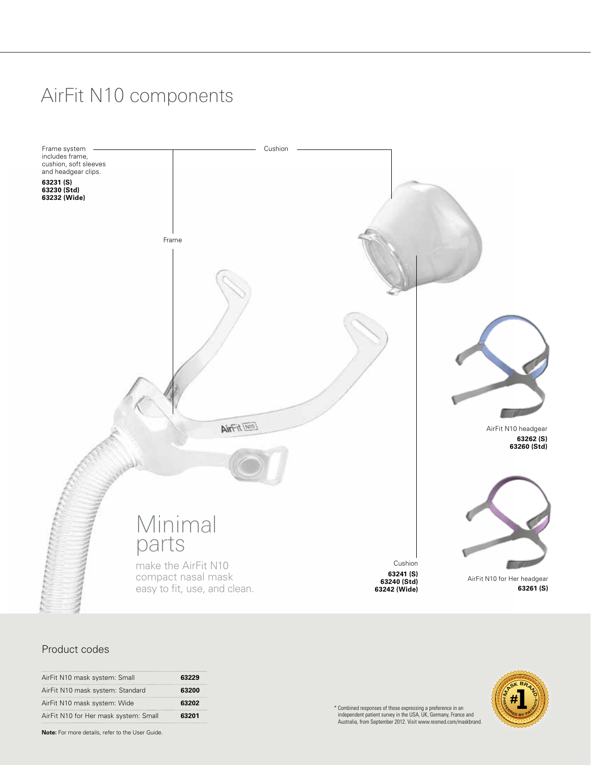## AirFit N10 components



#### Product codes

| AirFit N10 mask system: Small         | 63229 |
|---------------------------------------|-------|
| AirFit N10 mask system: Standard      | 63200 |
| AirFit N10 mask system: Wide          | 63202 |
| AirFit N10 for Her mask system: Small | 63201 |

**Note:** For more details, refer to the User Guide.

\* Combined responses of those expressing a preference in an independent patient survey in the USA, UK, Germany, France and Australia, from September 2012. Visit www.resmed.com/maskbrand.